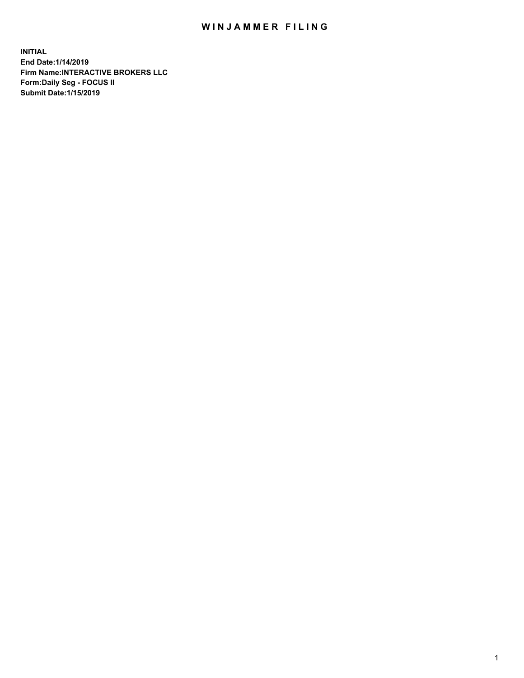## WIN JAMMER FILING

**INITIAL End Date:1/14/2019 Firm Name:INTERACTIVE BROKERS LLC Form:Daily Seg - FOCUS II Submit Date:1/15/2019**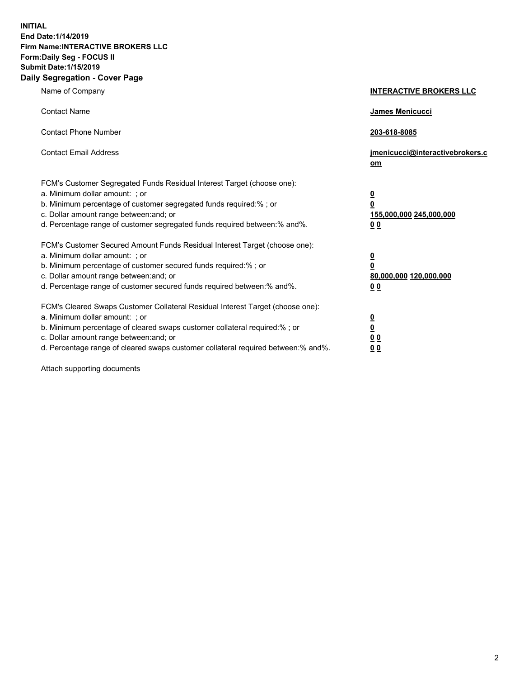**INITIAL End Date:1/14/2019 Firm Name:INTERACTIVE BROKERS LLC Form:Daily Seg - FOCUS II Submit Date:1/15/2019 Daily Segregation - Cover Page**

| Name of Company                                                                                                                                                                                                                                                                                                                | <b>INTERACTIVE BROKERS LLC</b>                                                                  |
|--------------------------------------------------------------------------------------------------------------------------------------------------------------------------------------------------------------------------------------------------------------------------------------------------------------------------------|-------------------------------------------------------------------------------------------------|
| <b>Contact Name</b>                                                                                                                                                                                                                                                                                                            | James Menicucci                                                                                 |
| <b>Contact Phone Number</b>                                                                                                                                                                                                                                                                                                    | 203-618-8085                                                                                    |
| <b>Contact Email Address</b>                                                                                                                                                                                                                                                                                                   | jmenicucci@interactivebrokers.c<br>om                                                           |
| FCM's Customer Segregated Funds Residual Interest Target (choose one):<br>a. Minimum dollar amount: ; or<br>b. Minimum percentage of customer segregated funds required:% ; or<br>c. Dollar amount range between: and; or<br>d. Percentage range of customer segregated funds required between:% and%.                         | $\overline{\mathbf{0}}$<br>$\overline{\mathbf{0}}$<br>155,000,000 245,000,000<br>0 <sub>0</sub> |
| FCM's Customer Secured Amount Funds Residual Interest Target (choose one):<br>a. Minimum dollar amount: ; or<br>b. Minimum percentage of customer secured funds required:%; or<br>c. Dollar amount range between: and; or<br>d. Percentage range of customer secured funds required between:% and%.                            | $\overline{\mathbf{0}}$<br>$\overline{\mathbf{0}}$<br>80,000,000 120,000,000<br>00              |
| FCM's Cleared Swaps Customer Collateral Residual Interest Target (choose one):<br>a. Minimum dollar amount: ; or<br>b. Minimum percentage of cleared swaps customer collateral required:% ; or<br>c. Dollar amount range between: and; or<br>d. Percentage range of cleared swaps customer collateral required between:% and%. | $\overline{\mathbf{0}}$<br>$\underline{\mathbf{0}}$<br>0 <sub>0</sub><br>0 <sub>0</sub>         |

Attach supporting documents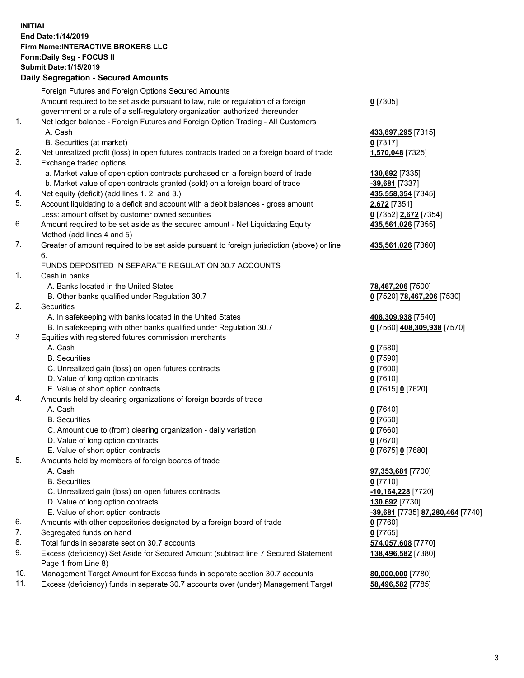## **INITIAL End Date:1/14/2019 Firm Name:INTERACTIVE BROKERS LLC Form:Daily Seg - FOCUS II Submit Date:1/15/2019 Daily Segregation - Secured Amounts**

|     | Daily Segregation - Secured Amounts                                                         |                                  |
|-----|---------------------------------------------------------------------------------------------|----------------------------------|
|     | Foreign Futures and Foreign Options Secured Amounts                                         |                                  |
|     | Amount required to be set aside pursuant to law, rule or regulation of a foreign            | $0$ [7305]                       |
|     | government or a rule of a self-regulatory organization authorized thereunder                |                                  |
| 1.  | Net ledger balance - Foreign Futures and Foreign Option Trading - All Customers             |                                  |
|     | A. Cash                                                                                     | 433,897,295 [7315]               |
|     | B. Securities (at market)                                                                   | $0$ [7317]                       |
| 2.  | Net unrealized profit (loss) in open futures contracts traded on a foreign board of trade   | 1,570,048 [7325]                 |
| 3.  | Exchange traded options                                                                     |                                  |
|     | a. Market value of open option contracts purchased on a foreign board of trade              | 130,692 [7335]                   |
|     | b. Market value of open contracts granted (sold) on a foreign board of trade                | -39,681 [7337]                   |
| 4.  | Net equity (deficit) (add lines 1.2. and 3.)                                                | 435,558,354 [7345]               |
| 5.  | Account liquidating to a deficit and account with a debit balances - gross amount           | 2,672 [7351]                     |
|     | Less: amount offset by customer owned securities                                            | 0 [7352] 2,672 [7354]            |
| 6.  | Amount required to be set aside as the secured amount - Net Liquidating Equity              | 435,561,026 [7355]               |
|     | Method (add lines 4 and 5)                                                                  |                                  |
| 7.  | Greater of amount required to be set aside pursuant to foreign jurisdiction (above) or line | 435,561,026 [7360]               |
|     | 6.                                                                                          |                                  |
|     | FUNDS DEPOSITED IN SEPARATE REGULATION 30.7 ACCOUNTS                                        |                                  |
| 1.  | Cash in banks                                                                               |                                  |
|     | A. Banks located in the United States                                                       | 78,467,206 [7500]                |
|     | B. Other banks qualified under Regulation 30.7                                              | 0 [7520] 78,467,206 [7530]       |
| 2.  | Securities                                                                                  |                                  |
|     | A. In safekeeping with banks located in the United States                                   | 408,309,938 [7540]               |
|     | B. In safekeeping with other banks qualified under Regulation 30.7                          | 0 [7560] 408,309,938 [7570]      |
| 3.  | Equities with registered futures commission merchants                                       |                                  |
|     | A. Cash                                                                                     | $0$ [7580]                       |
|     | <b>B.</b> Securities                                                                        | $0$ [7590]                       |
|     | C. Unrealized gain (loss) on open futures contracts                                         | $0$ [7600]                       |
|     | D. Value of long option contracts                                                           | $0$ [7610]                       |
| 4.  | E. Value of short option contracts                                                          | 0 [7615] 0 [7620]                |
|     | Amounts held by clearing organizations of foreign boards of trade<br>A. Cash                |                                  |
|     | <b>B.</b> Securities                                                                        | $0$ [7640]<br>$0$ [7650]         |
|     | C. Amount due to (from) clearing organization - daily variation                             | $0$ [7660]                       |
|     | D. Value of long option contracts                                                           | $0$ [7670]                       |
|     | E. Value of short option contracts                                                          | 0 [7675] 0 [7680]                |
| 5.  | Amounts held by members of foreign boards of trade                                          |                                  |
|     | A. Cash                                                                                     | 97,353,681 [7700]                |
|     | <b>B.</b> Securities                                                                        | $0$ [7710]                       |
|     | C. Unrealized gain (loss) on open futures contracts                                         | -10,164,228 [7720]               |
|     | D. Value of long option contracts                                                           | 130,692 [7730]                   |
|     | E. Value of short option contracts                                                          | -39,681 [7735] 87,280,464 [7740] |
| 6.  | Amounts with other depositories designated by a foreign board of trade                      | 0 [7760]                         |
| 7.  | Segregated funds on hand                                                                    | $0$ [7765]                       |
| 8.  | Total funds in separate section 30.7 accounts                                               | 574,057,608 [7770]               |
| 9.  | Excess (deficiency) Set Aside for Secured Amount (subtract line 7 Secured Statement         | 138,496,582 [7380]               |
|     | Page 1 from Line 8)                                                                         |                                  |
| 10. | Management Target Amount for Excess funds in separate section 30.7 accounts                 | 80,000,000 [7780]                |
| 11. | Excess (deficiency) funds in separate 30.7 accounts over (under) Management Target          | 58,496,582 [7785]                |
|     |                                                                                             |                                  |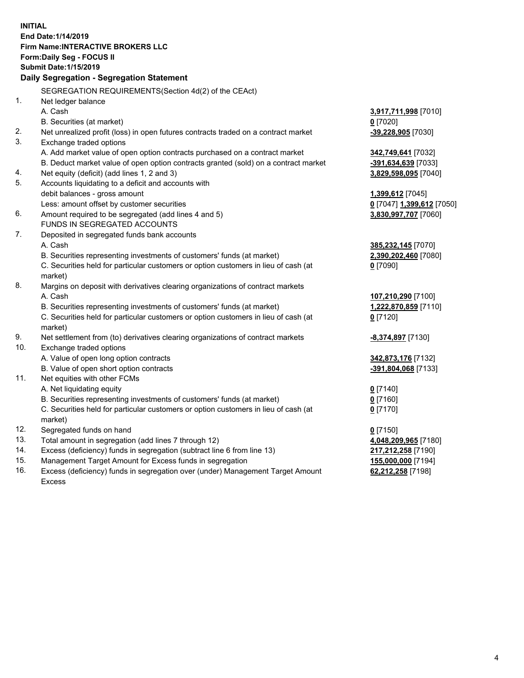**INITIAL End Date:1/14/2019 Firm Name:INTERACTIVE BROKERS LLC Form:Daily Seg - FOCUS II Submit Date:1/15/2019 Daily Segregation - Segregation Statement** SEGREGATION REQUIREMENTS(Section 4d(2) of the CEAct) 1. Net ledger balance A. Cash **3,917,711,998** [7010] B. Securities (at market) **0** [7020] 2. Net unrealized profit (loss) in open futures contracts traded on a contract market **-39,228,905** [7030] 3. Exchange traded options A. Add market value of open option contracts purchased on a contract market **342,749,641** [7032] B. Deduct market value of open option contracts granted (sold) on a contract market **-391,634,639** [7033] 4. Net equity (deficit) (add lines 1, 2 and 3) **3,829,598,095** [7040] 5. Accounts liquidating to a deficit and accounts with debit balances - gross amount **1,399,612** [7045] Less: amount offset by customer securities **0** [7047] **1,399,612** [7050] 6. Amount required to be segregated (add lines 4 and 5) **3,830,997,707** [7060] FUNDS IN SEGREGATED ACCOUNTS 7. Deposited in segregated funds bank accounts A. Cash **385,232,145** [7070] B. Securities representing investments of customers' funds (at market) **2,390,202,460** [7080] C. Securities held for particular customers or option customers in lieu of cash (at market) **0** [7090] 8. Margins on deposit with derivatives clearing organizations of contract markets A. Cash **107,210,290** [7100] B. Securities representing investments of customers' funds (at market) **1,222,870,859** [7110] C. Securities held for particular customers or option customers in lieu of cash (at market) **0** [7120] 9. Net settlement from (to) derivatives clearing organizations of contract markets **-8,374,897** [7130] 10. Exchange traded options A. Value of open long option contracts **342,873,176** [7132] B. Value of open short option contracts **-391,804,068** [7133] 11. Net equities with other FCMs A. Net liquidating equity **0** [7140] B. Securities representing investments of customers' funds (at market) **0** [7160] C. Securities held for particular customers or option customers in lieu of cash (at market) **0** [7170] 12. Segregated funds on hand **0** [7150] 13. Total amount in segregation (add lines 7 through 12) **4,048,209,965** [7180] 14. Excess (deficiency) funds in segregation (subtract line 6 from line 13) **217,212,258** [7190] 15. Management Target Amount for Excess funds in segregation **155,000,000** [7194]

16. Excess (deficiency) funds in segregation over (under) Management Target Amount Excess

**62,212,258** [7198]